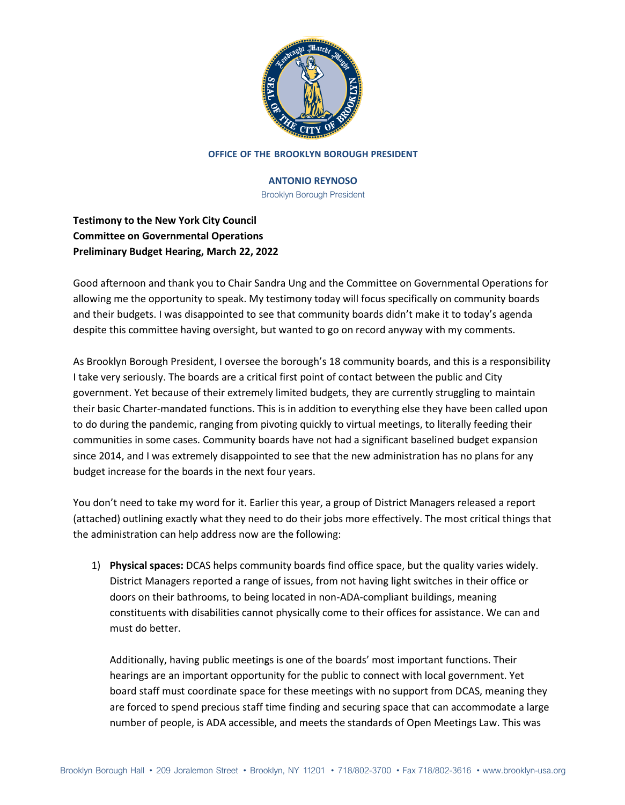

### **OFFICE OF THE BROOKLYN BOROUGH PRESIDENT**

## **ANTONIO REYNOSO**

Brooklyn Borough President

**Testimony to the New York City Council Committee on Governmental Operations Preliminary Budget Hearing, March 22, 2022**

Good afternoon and thank you to Chair Sandra Ung and the Committee on Governmental Operations for allowing me the opportunity to speak. My testimony today will focus specifically on community boards and their budgets. I was disappointed to see that community boards didn't make it to today's agenda despite this committee having oversight, but wanted to go on record anyway with my comments.

As Brooklyn Borough President, I oversee the borough's 18 community boards, and this is a responsibility I take very seriously. The boards are a critical first point of contact between the public and City government. Yet because of their extremely limited budgets, they are currently struggling to maintain their basic Charter-mandated functions. This is in addition to everything else they have been called upon to do during the pandemic, ranging from pivoting quickly to virtual meetings, to literally feeding their communities in some cases. Community boards have not had a significant baselined budget expansion since 2014, and I was extremely disappointed to see that the new administration has no plans for any budget increase for the boards in the next four years.

You don't need to take my word for it. Earlier this year, a group of District Managers released a report (attached) outlining exactly what they need to do their jobs more effectively. The most critical things that the administration can help address now are the following:

1) **Physical spaces:** DCAS helps community boards find office space, but the quality varies widely. District Managers reported a range of issues, from not having light switches in their office or doors on their bathrooms, to being located in non-ADA-compliant buildings, meaning constituents with disabilities cannot physically come to their offices for assistance. We can and must do better.

Additionally, having public meetings is one of the boards' most important functions. Their hearings are an important opportunity for the public to connect with local government. Yet board staff must coordinate space for these meetings with no support from DCAS, meaning they are forced to spend precious staff time finding and securing space that can accommodate a large number of people, is ADA accessible, and meets the standards of Open Meetings Law. This was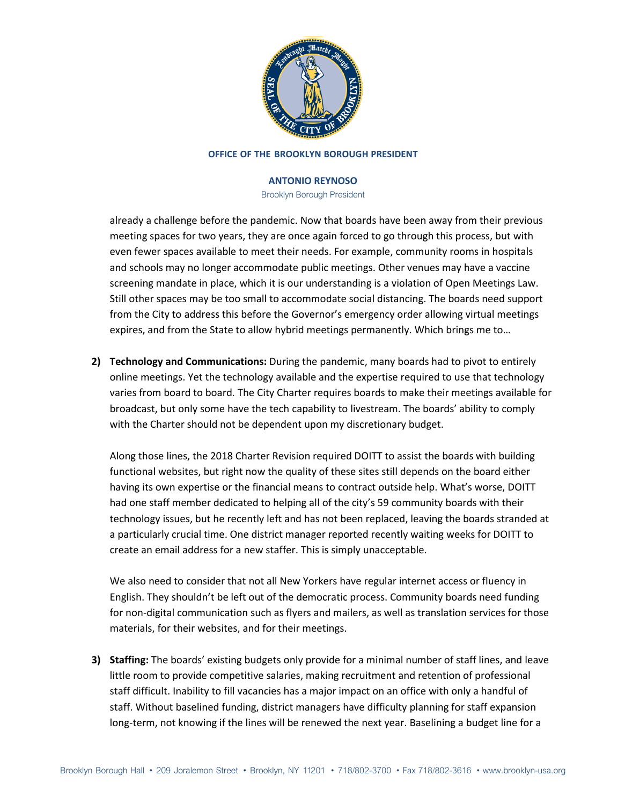

### **OFFICE OF THE BROOKLYN BOROUGH PRESIDENT**

## **ANTONIO REYNOSO**

Brooklyn Borough President

already a challenge before the pandemic. Now that boards have been away from their previous meeting spaces for two years, they are once again forced to go through this process, but with even fewer spaces available to meet their needs. For example, community rooms in hospitals and schools may no longer accommodate public meetings. Other venues may have a vaccine screening mandate in place, which it is our understanding is a violation of Open Meetings Law. Still other spaces may be too small to accommodate social distancing. The boards need support from the City to address this before the Governor's emergency order allowing virtual meetings expires, and from the State to allow hybrid meetings permanently. Which brings me to…

**2) Technology and Communications:** During the pandemic, many boards had to pivot to entirely online meetings. Yet the technology available and the expertise required to use that technology varies from board to board. The City Charter requires boards to make their meetings available for broadcast, but only some have the tech capability to livestream. The boards' ability to comply with the Charter should not be dependent upon my discretionary budget.

Along those lines, the 2018 Charter Revision required DOITT to assist the boards with building functional websites, but right now the quality of these sites still depends on the board either having its own expertise or the financial means to contract outside help. What's worse, DOITT had one staff member dedicated to helping all of the city's 59 community boards with their technology issues, but he recently left and has not been replaced, leaving the boards stranded at a particularly crucial time. One district manager reported recently waiting weeks for DOITT to create an email address for a new staffer. This is simply unacceptable.

We also need to consider that not all New Yorkers have regular internet access or fluency in English. They shouldn't be left out of the democratic process. Community boards need funding for non-digital communication such as flyers and mailers, as well as translation services for those materials, for their websites, and for their meetings.

**3) Staffing:** The boards' existing budgets only provide for a minimal number of staff lines, and leave little room to provide competitive salaries, making recruitment and retention of professional staff difficult. Inability to fill vacancies has a major impact on an office with only a handful of staff. Without baselined funding, district managers have difficulty planning for staff expansion long-term, not knowing if the lines will be renewed the next year. Baselining a budget line for a